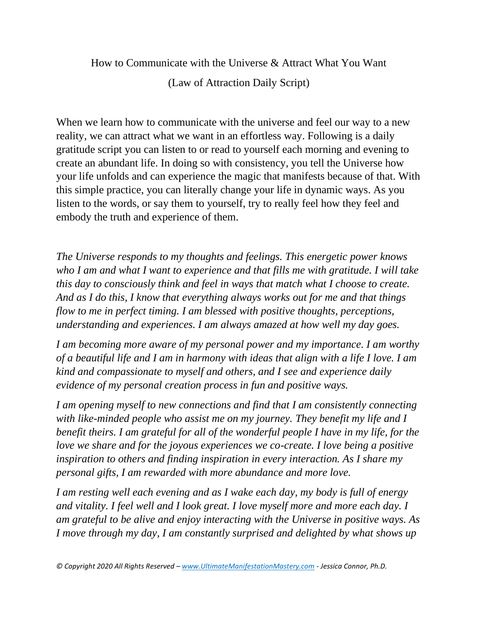How to Communicate with the Universe & Attract What You Want (Law of Attraction Daily Script)

When we learn how to communicate with the universe and feel our way to a new reality, we can attract what we want in an effortless way. Following is a daily gratitude script you can listen to or read to yourself each morning and evening to create an abundant life. In doing so with consistency, you tell the Universe how your life unfolds and can experience the magic that manifests because of that. With this simple practice, you can literally change your life in dynamic ways. As you listen to the words, or say them to yourself, try to really feel how they feel and embody the truth and experience of them.

*The Universe responds to my thoughts and feelings. This energetic power knows who I am and what I want to experience and that fills me with gratitude. I will take this day to consciously think and feel in ways that match what I choose to create. And as I do this, I know that everything always works out for me and that things flow to me in perfect timing. I am blessed with positive thoughts, perceptions, understanding and experiences. I am always amazed at how well my day goes.*

*I am becoming more aware of my personal power and my importance. I am worthy of a beautiful life and I am in harmony with ideas that align with a life I love. I am kind and compassionate to myself and others, and I see and experience daily evidence of my personal creation process in fun and positive ways.* 

*I am opening myself to new connections and find that I am consistently connecting with like-minded people who assist me on my journey. They benefit my life and I benefit theirs. I am grateful for all of the wonderful people I have in my life, for the love we share and for the joyous experiences we co-create. I love being a positive inspiration to others and finding inspiration in every interaction. As I share my personal gifts, I am rewarded with more abundance and more love.* 

*I am resting well each evening and as I wake each day, my body is full of energy and vitality. I feel well and I look great. I love myself more and more each day. I am grateful to be alive and enjoy interacting with the Universe in positive ways. As I move through my day, I am constantly surprised and delighted by what shows up*